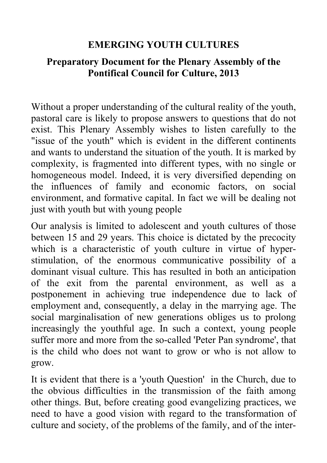### **EMERGING YOUTH CULTURES**

#### **Preparatory Document for the Plenary Assembly of the Pontifical Council for Culture, 2013**

Without a proper understanding of the cultural reality of the youth, pastoral care is likely to propose answers to questions that do not exist. This Plenary Assembly wishes to listen carefully to the "issue of the youth" which is evident in the different continents and wants to understand the situation of the youth. It is marked by complexity, is fragmented into different types, with no single or homogeneous model. Indeed, it is very diversified depending on the influences of family and economic factors, on social environment, and formative capital. In fact we will be dealing not just with youth but with young people

Our analysis is limited to adolescent and youth cultures of those between 15 and 29 years. This choice is dictated by the precocity which is a characteristic of youth culture in virtue of hyperstimulation, of the enormous communicative possibility of a dominant visual culture. This has resulted in both an anticipation of the exit from the parental environment, as well as a postponement in achieving true independence due to lack of employment and, consequently, a delay in the marrying age. The social marginalisation of new generations obliges us to prolong increasingly the youthful age. In such a context, young people suffer more and more from the so-called 'Peter Pan syndrome', that is the child who does not want to grow or who is not allow to grow.

It is evident that there is a 'youth Question' in the Church, due to the obvious difficulties in the transmission of the faith among other things. But, before creating good evangelizing practices, we need to have a good vision with regard to the transformation of culture and society, of the problems of the family, and of the inter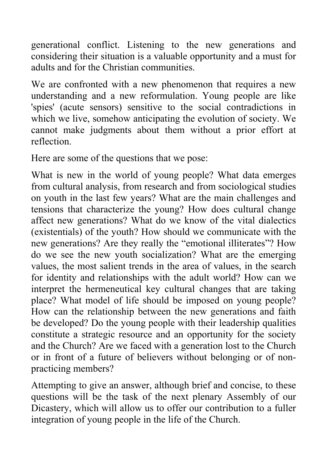generational conflict. Listening to the new generations and considering their situation is a valuable opportunity and a must for adults and for the Christian communities.

We are confronted with a new phenomenon that requires a new understanding and a new reformulation. Young people are like 'spies' (acute sensors) sensitive to the social contradictions in which we live, somehow anticipating the evolution of society. We cannot make judgments about them without a prior effort at reflection.

Here are some of the questions that we pose:

What is new in the world of young people? What data emerges from cultural analysis, from research and from sociological studies on youth in the last few years? What are the main challenges and tensions that characterize the young? How does cultural change affect new generations? What do we know of the vital dialectics (existentials) of the youth? How should we communicate with the new generations? Are they really the "emotional illiterates"? How do we see the new youth socialization? What are the emerging values, the most salient trends in the area of values, in the search for identity and relationships with the adult world? How can we interpret the hermeneutical key cultural changes that are taking place? What model of life should be imposed on young people? How can the relationship between the new generations and faith be developed? Do the young people with their leadership qualities constitute a strategic resource and an opportunity for the society and the Church? Are we faced with a generation lost to the Church or in front of a future of believers without belonging or of nonpracticing members?

Attempting to give an answer, although brief and concise, to these questions will be the task of the next plenary Assembly of our Dicastery, which will allow us to offer our contribution to a fuller integration of young people in the life of the Church.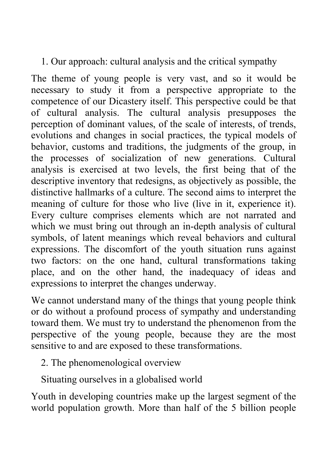## 1. Our approach: cultural analysis and the critical sympathy

The theme of young people is very vast, and so it would be necessary to study it from a perspective appropriate to the competence of our Dicastery itself. This perspective could be that of cultural analysis. The cultural analysis presupposes the perception of dominant values, of the scale of interests, of trends, evolutions and changes in social practices, the typical models of behavior, customs and traditions, the judgments of the group, in the processes of socialization of new generations. Cultural analysis is exercised at two levels, the first being that of the descriptive inventory that redesigns, as objectively as possible, the distinctive hallmarks of a culture. The second aims to interpret the meaning of culture for those who live (live in it, experience it). Every culture comprises elements which are not narrated and which we must bring out through an in-depth analysis of cultural symbols, of latent meanings which reveal behaviors and cultural expressions. The discomfort of the youth situation runs against two factors: on the one hand, cultural transformations taking place, and on the other hand, the inadequacy of ideas and expressions to interpret the changes underway.

We cannot understand many of the things that young people think or do without a profound process of sympathy and understanding toward them. We must try to understand the phenomenon from the perspective of the young people, because they are the most sensitive to and are exposed to these transformations.

2. The phenomenological overview

Situating ourselves in a globalised world

Youth in developing countries make up the largest segment of the world population growth. More than half of the 5 billion people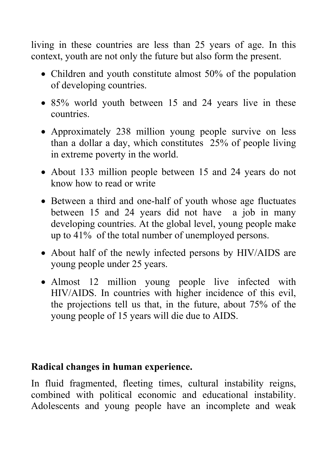living in these countries are less than 25 years of age. In this context, youth are not only the future but also form the present.

- Children and youth constitute almost 50% of the population of developing countries.
- 85% world youth between 15 and 24 years live in these countries.
- Approximately 238 million young people survive on less than a dollar a day, which constitutes 25% of people living in extreme poverty in the world.
- About 133 million people between 15 and 24 years do not know how to read or write
- Between a third and one-half of youth whose age fluctuates between 15 and 24 years did not have a job in many developing countries. At the global level, young people make up to 41% of the total number of unemployed persons.
- About half of the newly infected persons by HIV/AIDS are young people under 25 years.
- Almost 12 million young people live infected with HIV/AIDS. In countries with higher incidence of this evil, the projections tell us that, in the future, about 75% of the young people of 15 years will die due to AIDS.

### **Radical changes in human experience.**

In fluid fragmented, fleeting times, cultural instability reigns, combined with political economic and educational instability. Adolescents and young people have an incomplete and weak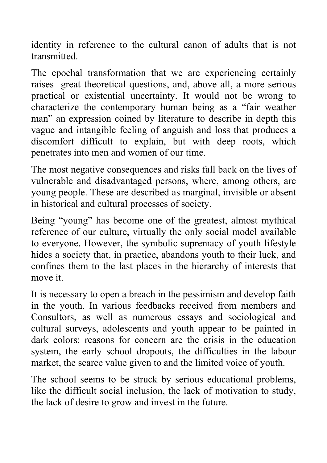identity in reference to the cultural canon of adults that is not transmitted.

The epochal transformation that we are experiencing certainly raises great theoretical questions, and, above all, a more serious practical or existential uncertainty. It would not be wrong to characterize the contemporary human being as a "fair weather man" an expression coined by literature to describe in depth this vague and intangible feeling of anguish and loss that produces a discomfort difficult to explain, but with deep roots, which penetrates into men and women of our time.

The most negative consequences and risks fall back on the lives of vulnerable and disadvantaged persons, where, among others, are young people. These are described as marginal, invisible or absent in historical and cultural processes of society.

Being "young" has become one of the greatest, almost mythical reference of our culture, virtually the only social model available to everyone. However, the symbolic supremacy of youth lifestyle hides a society that, in practice, abandons youth to their luck, and confines them to the last places in the hierarchy of interests that move it.

It is necessary to open a breach in the pessimism and develop faith in the youth. In various feedbacks received from members and Consultors, as well as numerous essays and sociological and cultural surveys, adolescents and youth appear to be painted in dark colors: reasons for concern are the crisis in the education system, the early school dropouts, the difficulties in the labour market, the scarce value given to and the limited voice of youth.

The school seems to be struck by serious educational problems, like the difficult social inclusion, the lack of motivation to study, the lack of desire to grow and invest in the future.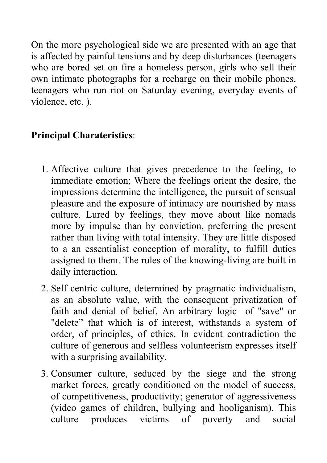On the more psychological side we are presented with an age that is affected by painful tensions and by deep disturbances (teenagers who are bored set on fire a homeless person, girls who sell their own intimate photographs for a recharge on their mobile phones, teenagers who run riot on Saturday evening, everyday events of violence, etc. ).

# **Principal Charateristics**:

- 1. Affective culture that gives precedence to the feeling, to immediate emotion; Where the feelings orient the desire, the impressions determine the intelligence, the pursuit of sensual pleasure and the exposure of intimacy are nourished by mass culture. Lured by feelings, they move about like nomads more by impulse than by conviction, preferring the present rather than living with total intensity. They are little disposed to a an essentialist conception of morality, to fulfill duties assigned to them. The rules of the knowing-living are built in daily interaction.
- 2. Self centric culture, determined by pragmatic individualism, as an absolute value, with the consequent privatization of faith and denial of belief. An arbitrary logic of "save" or "delete" that which is of interest, withstands a system of order, of principles, of ethics. In evident contradiction the culture of generous and selfless volunteerism expresses itself with a surprising availability.
- 3. Consumer culture, seduced by the siege and the strong market forces, greatly conditioned on the model of success, of competitiveness, productivity; generator of aggressiveness (video games of children, bullying and hooliganism). This culture produces victims of poverty and social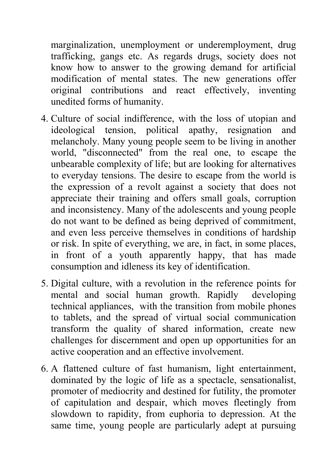marginalization, unemployment or underemployment, drug trafficking, gangs etc. As regards drugs, society does not know how to answer to the growing demand for artificial modification of mental states. The new generations offer original contributions and react effectively, inventing unedited forms of humanity.

- 4. Culture of social indifference, with the loss of utopian and ideological tension, political apathy, resignation and melancholy. Many young people seem to be living in another world, "disconnected" from the real one, to escape the unbearable complexity of life; but are looking for alternatives to everyday tensions. The desire to escape from the world is the expression of a revolt against a society that does not appreciate their training and offers small goals, corruption and inconsistency. Many of the adolescents and young people do not want to be defined as being deprived of commitment, and even less perceive themselves in conditions of hardship or risk. In spite of everything, we are, in fact, in some places, in front of a youth apparently happy, that has made consumption and idleness its key of identification.
- 5. Digital culture, with a revolution in the reference points for mental and social human growth. Rapidly developing technical appliances, with the transition from mobile phones to tablets, and the spread of virtual social communication transform the quality of shared information, create new challenges for discernment and open up opportunities for an active cooperation and an effective involvement.
- 6. A flattened culture of fast humanism, light entertainment, dominated by the logic of life as a spectacle, sensationalist, promoter of mediocrity and destined for futility, the promoter of capitulation and despair, which moves fleetingly from slowdown to rapidity, from euphoria to depression. At the same time, young people are particularly adept at pursuing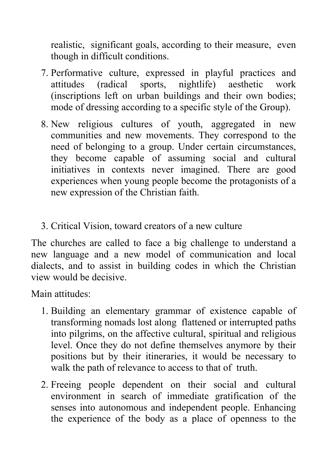realistic, significant goals, according to their measure, even though in difficult conditions.

- 7. Performative culture, expressed in playful practices and attitudes (radical sports, nightlife) aesthetic work (inscriptions left on urban buildings and their own bodies; mode of dressing according to a specific style of the Group).
- 8. New religious cultures of youth, aggregated in new communities and new movements. They correspond to the need of belonging to a group. Under certain circumstances, they become capable of assuming social and cultural initiatives in contexts never imagined. There are good experiences when young people become the protagonists of a new expression of the Christian faith.
- 3. Critical Vision, toward creators of a new culture

The churches are called to face a big challenge to understand a new language and a new model of communication and local dialects, and to assist in building codes in which the Christian view would be decisive.

Main attitudes:

- 1. Building an elementary grammar of existence capable of transforming nomads lost along flattened or interrupted paths into pilgrims, on the affective cultural, spiritual and religious level. Once they do not define themselves anymore by their positions but by their itineraries, it would be necessary to walk the path of relevance to access to that of truth.
- 2. Freeing people dependent on their social and cultural environment in search of immediate gratification of the senses into autonomous and independent people. Enhancing the experience of the body as a place of openness to the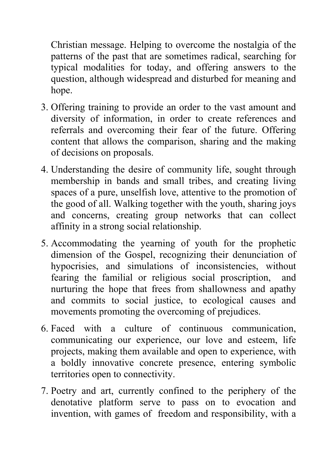Christian message. Helping to overcome the nostalgia of the patterns of the past that are sometimes radical, searching for typical modalities for today, and offering answers to the question, although widespread and disturbed for meaning and hope.

- 3. Offering training to provide an order to the vast amount and diversity of information, in order to create references and referrals and overcoming their fear of the future. Offering content that allows the comparison, sharing and the making of decisions on proposals.
- 4. Understanding the desire of community life, sought through membership in bands and small tribes, and creating living spaces of a pure, unselfish love, attentive to the promotion of the good of all. Walking together with the youth, sharing joys and concerns, creating group networks that can collect affinity in a strong social relationship.
- 5. Accommodating the yearning of youth for the prophetic dimension of the Gospel, recognizing their denunciation of hypocrisies, and simulations of inconsistencies, without fearing the familial or religious social proscription, and nurturing the hope that frees from shallowness and apathy and commits to social justice, to ecological causes and movements promoting the overcoming of prejudices.
- 6. Faced with a culture of continuous communication, communicating our experience, our love and esteem, life projects, making them available and open to experience, with a boldly innovative concrete presence, entering symbolic territories open to connectivity.
- 7. Poetry and art, currently confined to the periphery of the denotative platform serve to pass on to evocation and invention, with games of freedom and responsibility, with a